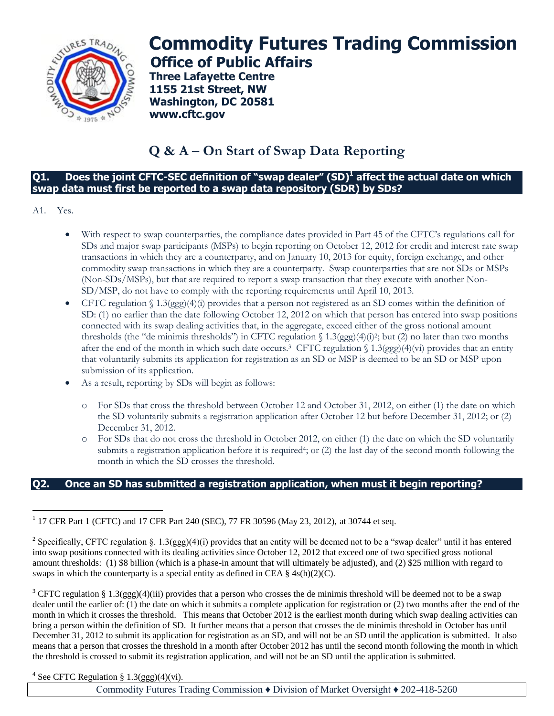

# **Commodity Futures Trading Commission Office of Public Affairs**

**Three Lafayette Centre 1155 21st Street, NW Washington, DC 20581 www.cftc.gov**

# **Q & A – On Start of Swap Data Reporting**

#### **Q1. Does the joint CFTC-SEC definition of "swap dealer" (SD)<sup>1</sup> affect the actual date on which swap data must first be reported to a swap data repository (SDR) by SDs?**

A1. Yes.

- With respect to swap counterparties, the compliance dates provided in Part 45 of the CFTC's regulations call for SDs and major swap participants (MSPs) to begin reporting on October 12, 2012 for credit and interest rate swap transactions in which they are a counterparty, and on January 10, 2013 for equity, foreign exchange, and other commodity swap transactions in which they are a counterparty. Swap counterparties that are not SDs or MSPs (Non-SDs/MSPs), but that are required to report a swap transaction that they execute with another Non-SD/MSP, do not have to comply with the reporting requirements until April 10, 2013.
- CFTC regulation  $\int 1.3(ggg)(4)(i)$  provides that a person not registered as an SD comes within the definition of SD: (1) no earlier than the date following October 12, 2012 on which that person has entered into swap positions connected with its swap dealing activities that, in the aggregate, exceed either of the gross notional amount thresholds (the "de minimis thresholds") in CFTC regulation  $\int 1.3(ggg)(4)(i)^2$ ; but (2) no later than two months after the end of the month in which such date occurs.<sup>3</sup> CFTC regulation § 1.3(ggg)(4)(vi) provides that an entity that voluntarily submits its application for registration as an SD or MSP is deemed to be an SD or MSP upon submission of its application.
- As a result, reporting by SDs will begin as follows:
	- o For SDs that cross the threshold between October 12 and October 31, 2012, on either (1) the date on which the SD voluntarily submits a registration application after October 12 but before December 31, 2012; or (2) December 31, 2012.
	- o For SDs that do not cross the threshold in October 2012, on either (1) the date on which the SD voluntarily submits a registration application before it is required<sup>4</sup>; or (2) the last day of the second month following the month in which the SD crosses the threshold.

## **Q2. Once an SD has submitted a registration application, when must it begin reporting?**

<sup>4</sup> See CFTC Regulation § 1.3(ggg)(4)(vi).

Commodity Futures Trading Commission ♦ Division of Market Oversight ♦ 202-418-5260

 $\overline{a}$ <sup>1</sup> 17 CFR Part 1 (CFTC) and 17 CFR Part 240 (SEC), 77 FR 30596 (May 23, 2012), at 30744 et seq.

<sup>&</sup>lt;sup>2</sup> Specifically, CFTC regulation §. 1.3(ggg)(4)(i) provides that an entity will be deemed not to be a "swap dealer" until it has entered into swap positions connected with its dealing activities since October 12, 2012 that exceed one of two specified gross notional amount thresholds: (1) \$8 billion (which is a phase-in amount that will ultimately be adjusted), and (2) \$25 million with regard to swaps in which the counterparty is a special entity as defined in CEA  $\S$  4s(h)(2)(C).

 $3$  CFTC regulation § 1.3(ggg)(4)(iii) provides that a person who crosses the de minimis threshold will be deemed not to be a swap dealer until the earlier of: (1) the date on which it submits a complete application for registration or (2) two months after the end of the month in which it crosses the threshold. This means that October 2012 is the earliest month during which swap dealing activities can bring a person within the definition of SD. It further means that a person that crosses the de minimis threshold in October has until December 31, 2012 to submit its application for registration as an SD, and will not be an SD until the application is submitted. It also means that a person that crosses the threshold in a month after October 2012 has until the second month following the month in which the threshold is crossed to submit its registration application, and will not be an SD until the application is submitted.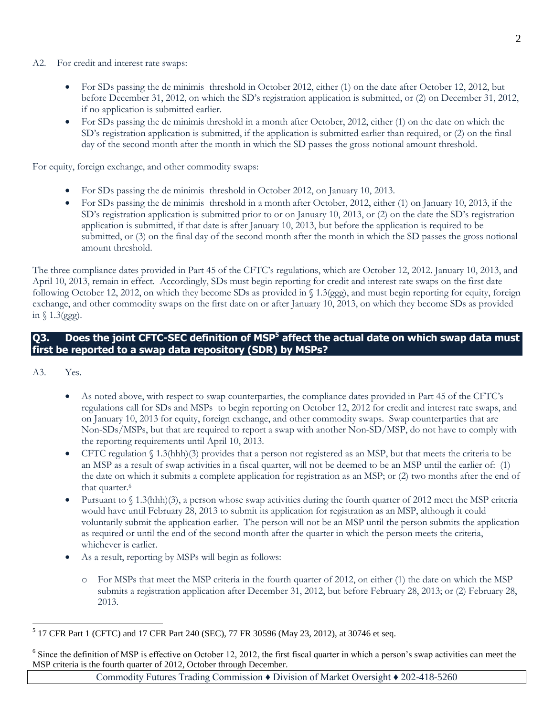- A2. For credit and interest rate swaps:
	- For SDs passing the de minimis threshold in October 2012, either (1) on the date after October 12, 2012, but before December 31, 2012, on which the SD's registration application is submitted, or (2) on December 31, 2012, if no application is submitted earlier.
	- For SDs passing the de minimis threshold in a month after October, 2012, either (1) on the date on which the SD's registration application is submitted, if the application is submitted earlier than required, or (2) on the final day of the second month after the month in which the SD passes the gross notional amount threshold.

For equity, foreign exchange, and other commodity swaps:

- For SDs passing the de minimis threshold in October 2012, on January 10, 2013.
- For SDs passing the de minimis threshold in a month after October, 2012, either (1) on January 10, 2013, if the SD's registration application is submitted prior to or on January 10, 2013, or (2) on the date the SD's registration application is submitted, if that date is after January 10, 2013, but before the application is required to be submitted, or (3) on the final day of the second month after the month in which the SD passes the gross notional amount threshold.

The three compliance dates provided in Part 45 of the CFTC's regulations, which are October 12, 2012. January 10, 2013, and April 10, 2013, remain in effect. Accordingly, SDs must begin reporting for credit and interest rate swaps on the first date following October 12, 2012, on which they become SDs as provided in § 1.3(ggg), and must begin reporting for equity, foreign exchange, and other commodity swaps on the first date on or after January 10, 2013, on which they become SDs as provided in  $\sqrt{1.3(ggg)}$ .

# **Q3. Does the joint CFTC-SEC definition of MSP<sup>5</sup> affect the actual date on which swap data must first be reported to a swap data repository (SDR) by MSPs?**

A3. Yes.

 $\overline{a}$ 

- As noted above, with respect to swap counterparties, the compliance dates provided in Part 45 of the CFTC's regulations call for SDs and MSPs to begin reporting on October 12, 2012 for credit and interest rate swaps, and on January 10, 2013 for equity, foreign exchange, and other commodity swaps. Swap counterparties that are Non-SDs/MSPs, but that are required to report a swap with another Non-SD/MSP, do not have to comply with the reporting requirements until April 10, 2013.
- CFTC regulation § 1.3(hhh)(3) provides that a person not registered as an MSP, but that meets the criteria to be an MSP as a result of swap activities in a fiscal quarter, will not be deemed to be an MSP until the earlier of: (1) the date on which it submits a complete application for registration as an MSP; or (2) two months after the end of that quarter.<sup>6</sup>
- Pursuant to  $\S$  1.3(hhh)(3), a person whose swap activities during the fourth quarter of 2012 meet the MSP criteria would have until February 28, 2013 to submit its application for registration as an MSP, although it could voluntarily submit the application earlier. The person will not be an MSP until the person submits the application as required or until the end of the second month after the quarter in which the person meets the criteria, whichever is earlier.
- As a result, reporting by MSPs will begin as follows:
	- o For MSPs that meet the MSP criteria in the fourth quarter of 2012, on either (1) the date on which the MSP submits a registration application after December 31, 2012, but before February 28, 2013; or (2) February 28, 2013.

Commodity Futures Trading Commission ♦ Division of Market Oversight ♦ 202-418-5260

<sup>&</sup>lt;sup>5</sup> 17 CFR Part 1 (CFTC) and 17 CFR Part 240 (SEC), 77 FR 30596 (May 23, 2012), at 30746 et seq.

 $6$  Since the definition of MSP is effective on October 12, 2012, the first fiscal quarter in which a person's swap activities can meet the MSP criteria is the fourth quarter of 2012, October through December.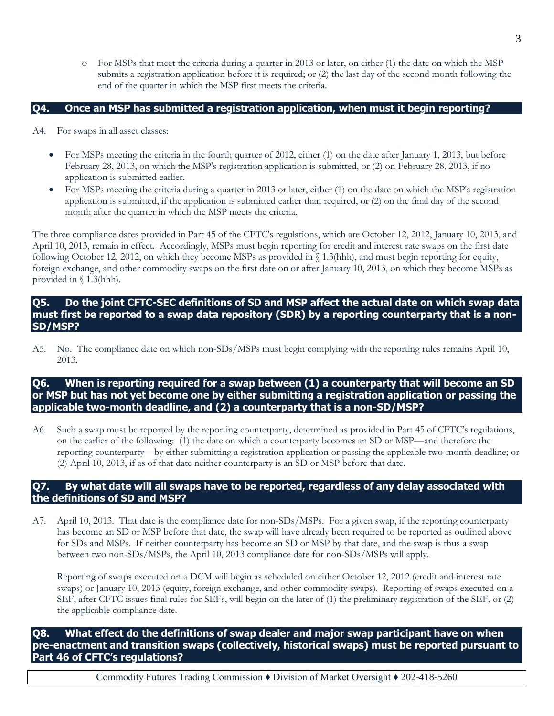o For MSPs that meet the criteria during a quarter in 2013 or later, on either (1) the date on which the MSP submits a registration application before it is required; or (2) the last day of the second month following the end of the quarter in which the MSP first meets the criteria.

#### **Q4. Once an MSP has submitted a registration application, when must it begin reporting?**

- A4. For swaps in all asset classes:
	- For MSPs meeting the criteria in the fourth quarter of 2012, either (1) on the date after January 1, 2013, but before February 28, 2013, on which the MSP's registration application is submitted, or (2) on February 28, 2013, if no application is submitted earlier.
	- For MSPs meeting the criteria during a quarter in 2013 or later, either (1) on the date on which the MSP's registration application is submitted, if the application is submitted earlier than required, or (2) on the final day of the second month after the quarter in which the MSP meets the criteria.

The three compliance dates provided in Part 45 of the CFTC's regulations, which are October 12, 2012, January 10, 2013, and April 10, 2013, remain in effect. Accordingly, MSPs must begin reporting for credit and interest rate swaps on the first date following October 12, 2012, on which they become MSPs as provided in § 1.3(hhh), and must begin reporting for equity, foreign exchange, and other commodity swaps on the first date on or after January 10, 2013, on which they become MSPs as provided in § 1.3(hhh).

#### **Q5. Do the joint CFTC-SEC definitions of SD and MSP affect the actual date on which swap data must first be reported to a swap data repository (SDR) by a reporting counterparty that is a non-SD/MSP?**

A5. No. The compliance date on which non-SDs/MSPs must begin complying with the reporting rules remains April 10, 2013.

# **Q6. When is reporting required for a swap between (1) a counterparty that will become an SD or MSP but has not yet become one by either submitting a registration application or passing the applicable two-month deadline, and (2) a counterparty that is a non-SD/MSP?**

A6. Such a swap must be reported by the reporting counterparty, determined as provided in Part 45 of CFTC's regulations, on the earlier of the following: (1) the date on which a counterparty becomes an SD or MSP—and therefore the reporting counterparty—by either submitting a registration application or passing the applicable two-month deadline; or (2) April 10, 2013, if as of that date neither counterparty is an SD or MSP before that date.

#### **Q7. By what date will all swaps have to be reported, regardless of any delay associated with the definitions of SD and MSP?**

A7. April 10, 2013. That date is the compliance date for non-SDs/MSPs. For a given swap, if the reporting counterparty has become an SD or MSP before that date, the swap will have already been required to be reported as outlined above for SDs and MSPs. If neither counterparty has become an SD or MSP by that date, and the swap is thus a swap between two non-SDs/MSPs, the April 10, 2013 compliance date for non-SDs/MSPs will apply.

Reporting of swaps executed on a DCM will begin as scheduled on either October 12, 2012 (credit and interest rate swaps) or January 10, 2013 (equity, foreign exchange, and other commodity swaps). Reporting of swaps executed on a SEF, after CFTC issues final rules for SEFs, will begin on the later of (1) the preliminary registration of the SEF, or (2) the applicable compliance date.

## **Q8. What effect do the definitions of swap dealer and major swap participant have on when pre-enactment and transition swaps (collectively, historical swaps) must be reported pursuant to Part 46 of CFTC's regulations?**

Commodity Futures Trading Commission ♦ Division of Market Oversight ♦ 202-418-5260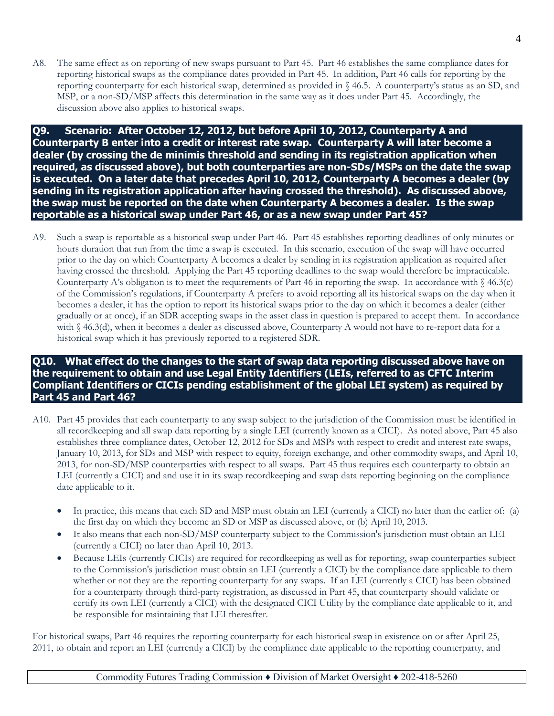A8. The same effect as on reporting of new swaps pursuant to Part 45. Part 46 establishes the same compliance dates for reporting historical swaps as the compliance dates provided in Part 45. In addition, Part 46 calls for reporting by the reporting counterparty for each historical swap, determined as provided in § 46.5. A counterparty's status as an SD, and MSP, or a non-SD/MSP affects this determination in the same way as it does under Part 45. Accordingly, the discussion above also applies to historical swaps.

**Q9. Scenario: After October 12, 2012, but before April 10, 2012, Counterparty A and Counterparty B enter into a credit or interest rate swap. Counterparty A will later become a dealer (by crossing the de minimis threshold and sending in its registration application when required, as discussed above), but both counterparties are non-SDs/MSPs on the date the swap is executed. On a later date that precedes April 10, 2012, Counterparty A becomes a dealer (by sending in its registration application after having crossed the threshold). As discussed above, the swap must be reported on the date when Counterparty A becomes a dealer. Is the swap reportable as a historical swap under Part 46, or as a new swap under Part 45?**

A9. Such a swap is reportable as a historical swap under Part 46. Part 45 establishes reporting deadlines of only minutes or hours duration that run from the time a swap is executed. In this scenario, execution of the swap will have occurred prior to the day on which Counterparty A becomes a dealer by sending in its registration application as required after having crossed the threshold. Applying the Part 45 reporting deadlines to the swap would therefore be impracticable. Counterparty A's obligation is to meet the requirements of Part 46 in reporting the swap. In accordance with  $\frac{1}{2}$  46.3(c) of the Commission's regulations, if Counterparty A prefers to avoid reporting all its historical swaps on the day when it becomes a dealer, it has the option to report its historical swaps prior to the day on which it becomes a dealer (either gradually or at once), if an SDR accepting swaps in the asset class in question is prepared to accept them. In accordance with § 46.3(d), when it becomes a dealer as discussed above, Counterparty A would not have to re-report data for a historical swap which it has previously reported to a registered SDR.

# **Q10. What effect do the changes to the start of swap data reporting discussed above have on the requirement to obtain and use Legal Entity Identifiers (LEIs, referred to as CFTC Interim Compliant Identifiers or CICIs pending establishment of the global LEI system) as required by Part 45 and Part 46?**

- A10. Part 45 provides that each counterparty to any swap subject to the jurisdiction of the Commission must be identified in all recordkeeping and all swap data reporting by a single LEI (currently known as a CICI). As noted above, Part 45 also establishes three compliance dates, October 12, 2012 for SDs and MSPs with respect to credit and interest rate swaps, January 10, 2013, for SDs and MSP with respect to equity, foreign exchange, and other commodity swaps, and April 10, 2013, for non-SD/MSP counterparties with respect to all swaps. Part 45 thus requires each counterparty to obtain an LEI (currently a CICI) and and use it in its swap recordkeeping and swap data reporting beginning on the compliance date applicable to it.
	- In practice, this means that each SD and MSP must obtain an LEI (currently a CICI) no later than the earlier of: (a) the first day on which they become an SD or MSP as discussed above, or (b) April 10, 2013.
	- It also means that each non-SD/MSP counterparty subject to the Commission's jurisdiction must obtain an LEI (currently a CICI) no later than April 10, 2013.
	- Because LEIs (currently CICIs) are required for recordkeeping as well as for reporting, swap counterparties subject to the Commission's jurisdiction must obtain an LEI (currently a CICI) by the compliance date applicable to them whether or not they are the reporting counterparty for any swaps. If an LEI (currently a CICI) has been obtained for a counterparty through third-party registration, as discussed in Part 45, that counterparty should validate or certify its own LEI (currently a CICI) with the designated CICI Utility by the compliance date applicable to it, and be responsible for maintaining that LEI thereafter.

For historical swaps, Part 46 requires the reporting counterparty for each historical swap in existence on or after April 25, 2011, to obtain and report an LEI (currently a CICI) by the compliance date applicable to the reporting counterparty, and